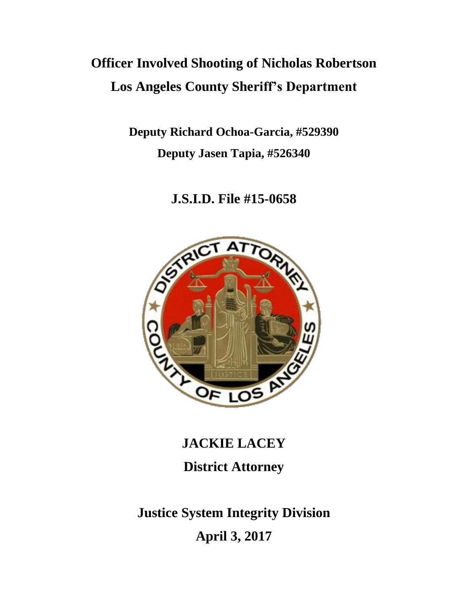# **Officer Involved Shooting of Nicholas Robertson Los Angeles County Sheriff's Department**

**Deputy Richard Ochoa-Garcia, #529390 Deputy Jasen Tapia, #526340**

# **J.S.I.D. File #15-0658**



**JACKIE LACEY District Attorney**

**Justice System Integrity Division April 3, 2017**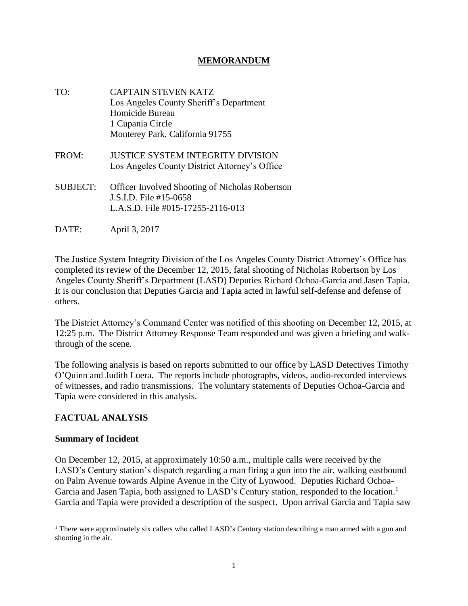# **MEMORANDUM**

- TO: CAPTAIN STEVEN KATZ Los Angeles County Sheriff's Department Homicide Bureau 1 Cupania Circle Monterey Park, California 91755
- FROM: JUSTICE SYSTEM INTEGRITY DIVISION Los Angeles County District Attorney's Office
- SUBJECT: Officer Involved Shooting of Nicholas Robertson J.S.I.D. File #15-0658 L.A.S.D. File #015-17255-2116-013
- DATE: April 3, 2017

The Justice System Integrity Division of the Los Angeles County District Attorney's Office has completed its review of the December 12, 2015, fatal shooting of Nicholas Robertson by Los Angeles County Sheriff's Department (LASD) Deputies Richard Ochoa-Garcia and Jasen Tapia. It is our conclusion that Deputies Garcia and Tapia acted in lawful self-defense and defense of others.

The District Attorney's Command Center was notified of this shooting on December 12, 2015, at 12:25 p.m. The District Attorney Response Team responded and was given a briefing and walkthrough of the scene.

The following analysis is based on reports submitted to our office by LASD Detectives Timothy O'Quinn and Judith Luera. The reports include photographs, videos, audio-recorded interviews of witnesses, and radio transmissions. The voluntary statements of Deputies Ochoa-Garcia and Tapia were considered in this analysis.

# **FACTUAL ANALYSIS**

#### **Summary of Incident**

On December 12, 2015, at approximately 10:50 a.m., multiple calls were received by the LASD's Century station's dispatch regarding a man firing a gun into the air, walking eastbound on Palm Avenue towards Alpine Avenue in the City of Lynwood. Deputies Richard Ochoa-Garcia and Jasen Tapia, both assigned to LASD's Century station, responded to the location.<sup>1</sup> Garcia and Tapia were provided a description of the suspect. Upon arrival Garcia and Tapia saw

<sup>&</sup>lt;sup>1</sup> There were approximately six callers who called LASD's Century station describing a man armed with a gun and shooting in the air.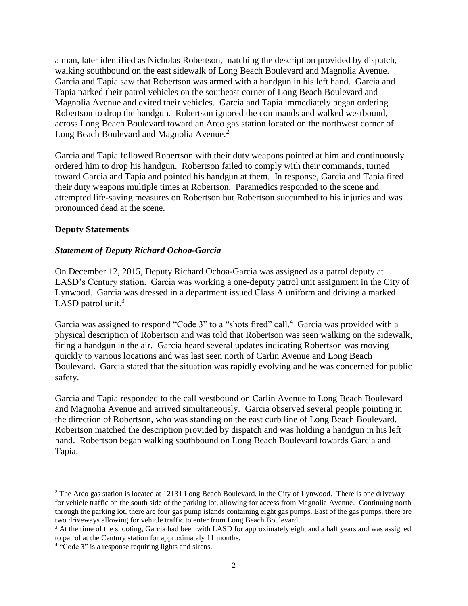a man, later identified as Nicholas Robertson, matching the description provided by dispatch, walking southbound on the east sidewalk of Long Beach Boulevard and Magnolia Avenue. Garcia and Tapia saw that Robertson was armed with a handgun in his left hand. Garcia and Tapia parked their patrol vehicles on the southeast corner of Long Beach Boulevard and Magnolia Avenue and exited their vehicles. Garcia and Tapia immediately began ordering Robertson to drop the handgun. Robertson ignored the commands and walked westbound, across Long Beach Boulevard toward an Arco gas station located on the northwest corner of Long Beach Boulevard and Magnolia Avenue.<sup>2</sup>

Garcia and Tapia followed Robertson with their duty weapons pointed at him and continuously ordered him to drop his handgun. Robertson failed to comply with their commands, turned toward Garcia and Tapia and pointed his handgun at them. In response, Garcia and Tapia fired their duty weapons multiple times at Robertson. Paramedics responded to the scene and attempted life-saving measures on Robertson but Robertson succumbed to his injuries and was pronounced dead at the scene.

# **Deputy Statements**

# *Statement of Deputy Richard Ochoa-Garcia*

On December 12, 2015, Deputy Richard Ochoa-Garcia was assigned as a patrol deputy at LASD's Century station. Garcia was working a one-deputy patrol unit assignment in the City of Lynwood. Garcia was dressed in a department issued Class A uniform and driving a marked LASD patrol unit.<sup>3</sup>

Garcia was assigned to respond "Code 3" to a "shots fired" call.<sup>4</sup> Garcia was provided with a physical description of Robertson and was told that Robertson was seen walking on the sidewalk, firing a handgun in the air. Garcia heard several updates indicating Robertson was moving quickly to various locations and was last seen north of Carlin Avenue and Long Beach Boulevard. Garcia stated that the situation was rapidly evolving and he was concerned for public safety.

Garcia and Tapia responded to the call westbound on Carlin Avenue to Long Beach Boulevard and Magnolia Avenue and arrived simultaneously. Garcia observed several people pointing in the direction of Robertson, who was standing on the east curb line of Long Beach Boulevard. Robertson matched the description provided by dispatch and was holding a handgun in his left hand. Robertson began walking southbound on Long Beach Boulevard towards Garcia and Tapia.

<sup>&</sup>lt;sup>2</sup> The Arco gas station is located at 12131 Long Beach Boulevard, in the City of Lynwood. There is one driveway for vehicle traffic on the south side of the parking lot, allowing for access from Magnolia Avenue. Continuing north through the parking lot, there are four gas pump islands containing eight gas pumps. East of the gas pumps, there are two driveways allowing for vehicle traffic to enter from Long Beach Boulevard.

<sup>&</sup>lt;sup>3</sup> At the time of the shooting, Garcia had been with LASD for approximately eight and a half years and was assigned to patrol at the Century station for approximately 11 months.

<sup>&</sup>lt;sup>4</sup> "Code 3" is a response requiring lights and sirens.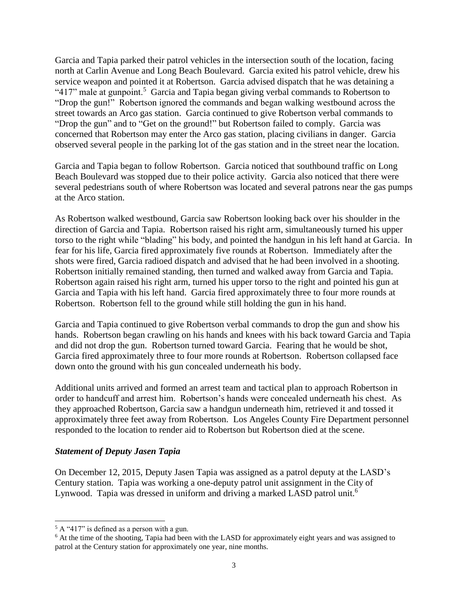Garcia and Tapia parked their patrol vehicles in the intersection south of the location, facing north at Carlin Avenue and Long Beach Boulevard. Garcia exited his patrol vehicle, drew his service weapon and pointed it at Robertson. Garcia advised dispatch that he was detaining a " $417$ " male at gunpoint.<sup>5</sup> Garcia and Tapia began giving verbal commands to Robertson to "Drop the gun!" Robertson ignored the commands and began walking westbound across the street towards an Arco gas station. Garcia continued to give Robertson verbal commands to "Drop the gun" and to "Get on the ground!" but Robertson failed to comply. Garcia was concerned that Robertson may enter the Arco gas station, placing civilians in danger. Garcia observed several people in the parking lot of the gas station and in the street near the location.

Garcia and Tapia began to follow Robertson. Garcia noticed that southbound traffic on Long Beach Boulevard was stopped due to their police activity. Garcia also noticed that there were several pedestrians south of where Robertson was located and several patrons near the gas pumps at the Arco station.

As Robertson walked westbound, Garcia saw Robertson looking back over his shoulder in the direction of Garcia and Tapia. Robertson raised his right arm, simultaneously turned his upper torso to the right while "blading" his body, and pointed the handgun in his left hand at Garcia. In fear for his life, Garcia fired approximately five rounds at Robertson. Immediately after the shots were fired, Garcia radioed dispatch and advised that he had been involved in a shooting. Robertson initially remained standing, then turned and walked away from Garcia and Tapia. Robertson again raised his right arm, turned his upper torso to the right and pointed his gun at Garcia and Tapia with his left hand. Garcia fired approximately three to four more rounds at Robertson. Robertson fell to the ground while still holding the gun in his hand.

Garcia and Tapia continued to give Robertson verbal commands to drop the gun and show his hands. Robertson began crawling on his hands and knees with his back toward Garcia and Tapia and did not drop the gun. Robertson turned toward Garcia. Fearing that he would be shot, Garcia fired approximately three to four more rounds at Robertson. Robertson collapsed face down onto the ground with his gun concealed underneath his body.

Additional units arrived and formed an arrest team and tactical plan to approach Robertson in order to handcuff and arrest him. Robertson's hands were concealed underneath his chest. As they approached Robertson, Garcia saw a handgun underneath him, retrieved it and tossed it approximately three feet away from Robertson. Los Angeles County Fire Department personnel responded to the location to render aid to Robertson but Robertson died at the scene.

#### *Statement of Deputy Jasen Tapia*

On December 12, 2015, Deputy Jasen Tapia was assigned as a patrol deputy at the LASD's Century station. Tapia was working a one-deputy patrol unit assignment in the City of Lynwood. Tapia was dressed in uniform and driving a marked LASD patrol unit.<sup>6</sup>

<sup>5</sup> A "417" is defined as a person with a gun.

<sup>&</sup>lt;sup>6</sup> At the time of the shooting, Tapia had been with the LASD for approximately eight years and was assigned to patrol at the Century station for approximately one year, nine months.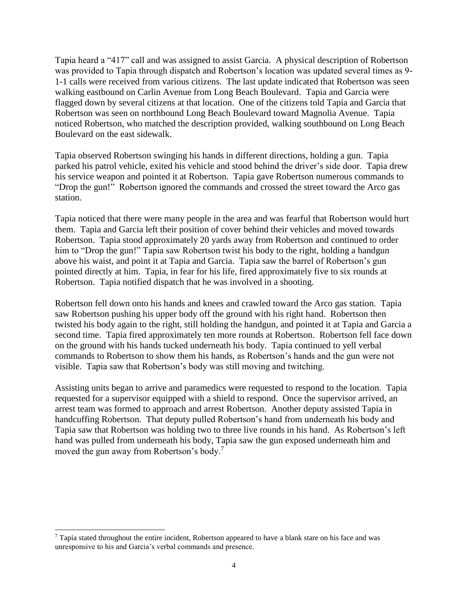Tapia heard a "417" call and was assigned to assist Garcia. A physical description of Robertson was provided to Tapia through dispatch and Robertson's location was updated several times as 9- 1-1 calls were received from various citizens. The last update indicated that Robertson was seen walking eastbound on Carlin Avenue from Long Beach Boulevard. Tapia and Garcia were flagged down by several citizens at that location. One of the citizens told Tapia and Garcia that Robertson was seen on northbound Long Beach Boulevard toward Magnolia Avenue. Tapia noticed Robertson, who matched the description provided, walking southbound on Long Beach Boulevard on the east sidewalk.

Tapia observed Robertson swinging his hands in different directions, holding a gun. Tapia parked his patrol vehicle, exited his vehicle and stood behind the driver's side door. Tapia drew his service weapon and pointed it at Robertson. Tapia gave Robertson numerous commands to "Drop the gun!" Robertson ignored the commands and crossed the street toward the Arco gas station.

Tapia noticed that there were many people in the area and was fearful that Robertson would hurt them. Tapia and Garcia left their position of cover behind their vehicles and moved towards Robertson. Tapia stood approximately 20 yards away from Robertson and continued to order him to "Drop the gun!" Tapia saw Robertson twist his body to the right, holding a handgun above his waist, and point it at Tapia and Garcia. Tapia saw the barrel of Robertson's gun pointed directly at him. Tapia, in fear for his life, fired approximately five to six rounds at Robertson. Tapia notified dispatch that he was involved in a shooting.

Robertson fell down onto his hands and knees and crawled toward the Arco gas station. Tapia saw Robertson pushing his upper body off the ground with his right hand. Robertson then twisted his body again to the right, still holding the handgun, and pointed it at Tapia and Garcia a second time. Tapia fired approximately ten more rounds at Robertson. Robertson fell face down on the ground with his hands tucked underneath his body. Tapia continued to yell verbal commands to Robertson to show them his hands, as Robertson's hands and the gun were not visible. Tapia saw that Robertson's body was still moving and twitching.

Assisting units began to arrive and paramedics were requested to respond to the location. Tapia requested for a supervisor equipped with a shield to respond. Once the supervisor arrived, an arrest team was formed to approach and arrest Robertson. Another deputy assisted Tapia in handcuffing Robertson. That deputy pulled Robertson's hand from underneath his body and Tapia saw that Robertson was holding two to three live rounds in his hand. As Robertson's left hand was pulled from underneath his body, Tapia saw the gun exposed underneath him and moved the gun away from Robertson's body.<sup>7</sup>

 $\overline{a}$ 

<sup>7</sup> Tapia stated throughout the entire incident, Robertson appeared to have a blank stare on his face and was unresponsive to his and Garcia's verbal commands and presence.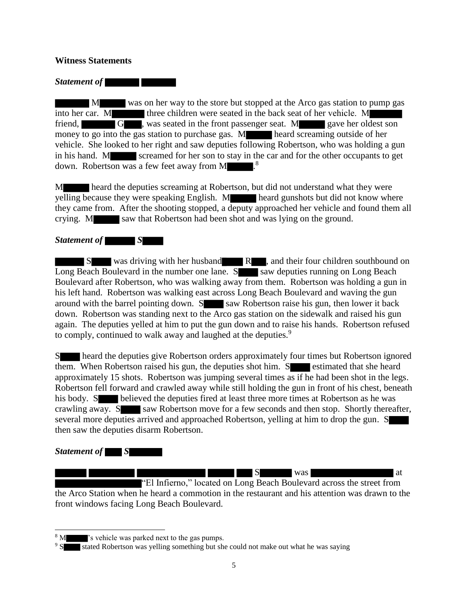#### **Witness Statements**

*Statement of* 

 M was on her way to the store but stopped at the Arco gas station to pump gas into her car. M three children were seated in the back seat of her vehicle. M friend, G , was seated in the front passenger seat. M gave her oldest son money to go into the gas station to purchase gas. M heard screaming outside of her vehicle. She looked to her right and saw deputies following Robertson, who was holding a gun in his hand. M screamed for her son to stay in the car and for the other occupants to get down. Robertson was a few feet away from  $M$  .<sup>8</sup>

M heard the deputies screaming at Robertson, but did not understand what they were yelling because they were speaking English. M heard gunshots but did not know where they came from. After the shooting stopped, a deputy approached her vehicle and found them all crying. M saw that Robertson had been shot and was lying on the ground.

#### *Statement of S*

 S was driving with her husband R , and their four children southbound on Long Beach Boulevard in the number one lane.  $S$  saw deputies running on Long Beach Boulevard after Robertson, who was walking away from them. Robertson was holding a gun in his left hand. Robertson was walking east across Long Beach Boulevard and waving the gun around with the barrel pointing down.  $S$  saw Robertson raise his gun, then lower it back down. Robertson was standing next to the Arco gas station on the sidewalk and raised his gun again. The deputies yelled at him to put the gun down and to raise his hands. Robertson refused to comply, continued to walk away and laughed at the deputies.<sup>9</sup>

S heard the deputies give Robertson orders approximately four times but Robertson ignored them. When Robertson raised his gun, the deputies shot him. Several estimated that she heard approximately 15 shots. Robertson was jumping several times as if he had been shot in the legs. Robertson fell forward and crawled away while still holding the gun in front of his chest, beneath his body. S believed the deputies fired at least three more times at Robertson as he was crawling away. S saw Robertson move for a few seconds and then stop. Shortly thereafter, several more deputies arrived and approached Robertson, yelling at him to drop the gun. S then saw the deputies disarm Robertson.

#### *Statement of S*

S was at

"El Infierno," located on Long Beach Boulevard across the street from the Arco Station when he heard a commotion in the restaurant and his attention was drawn to the front windows facing Long Beach Boulevard.

<sup>&</sup>lt;sup>8</sup> M  $\blacksquare$  's vehicle was parked next to the gas pumps.

<sup>&</sup>lt;sup>9</sup> S stated Robertson was yelling something but she could not make out what he was saying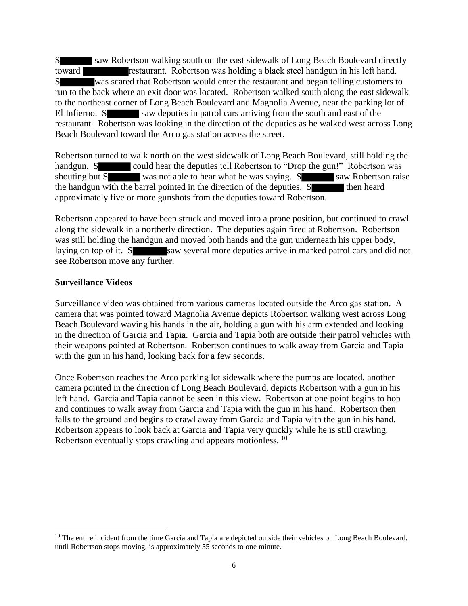S saw Robertson walking south on the east sidewalk of Long Beach Boulevard directly toward **restaurant.** Robertson was holding a black steel handgun in his left hand. S was scared that Robertson would enter the restaurant and began telling customers to run to the back where an exit door was located. Robertson walked south along the east sidewalk to the northeast corner of Long Beach Boulevard and Magnolia Avenue, near the parking lot of El Infierno. S saw deputies in patrol cars arriving from the south and east of the restaurant. Robertson was looking in the direction of the deputies as he walked west across Long Beach Boulevard toward the Arco gas station across the street.

Robertson turned to walk north on the west sidewalk of Long Beach Boulevard, still holding the handgun. S could hear the deputies tell Robertson to "Drop the gun!" Robertson was shouting but S was not able to hear what he was saying. S saw Robertson raise the handgun with the barrel pointed in the direction of the deputies. S approximately five or more gunshots from the deputies toward Robertson.

Robertson appeared to have been struck and moved into a prone position, but continued to crawl along the sidewalk in a northerly direction. The deputies again fired at Robertson. Robertson was still holding the handgun and moved both hands and the gun underneath his upper body, laying on top of it. S saw several more deputies arrive in marked patrol cars and did not see Robertson move any further.

# **Surveillance Videos**

Surveillance video was obtained from various cameras located outside the Arco gas station. A camera that was pointed toward Magnolia Avenue depicts Robertson walking west across Long Beach Boulevard waving his hands in the air, holding a gun with his arm extended and looking in the direction of Garcia and Tapia. Garcia and Tapia both are outside their patrol vehicles with their weapons pointed at Robertson. Robertson continues to walk away from Garcia and Tapia with the gun in his hand, looking back for a few seconds.

Once Robertson reaches the Arco parking lot sidewalk where the pumps are located, another camera pointed in the direction of Long Beach Boulevard, depicts Robertson with a gun in his left hand. Garcia and Tapia cannot be seen in this view. Robertson at one point begins to hop and continues to walk away from Garcia and Tapia with the gun in his hand. Robertson then falls to the ground and begins to crawl away from Garcia and Tapia with the gun in his hand. Robertson appears to look back at Garcia and Tapia very quickly while he is still crawling. Robertson eventually stops crawling and appears motionless. <sup>10</sup>

 $\overline{a}$ <sup>10</sup> The entire incident from the time Garcia and Tapia are depicted outside their vehicles on Long Beach Boulevard, until Robertson stops moving, is approximately 55 seconds to one minute.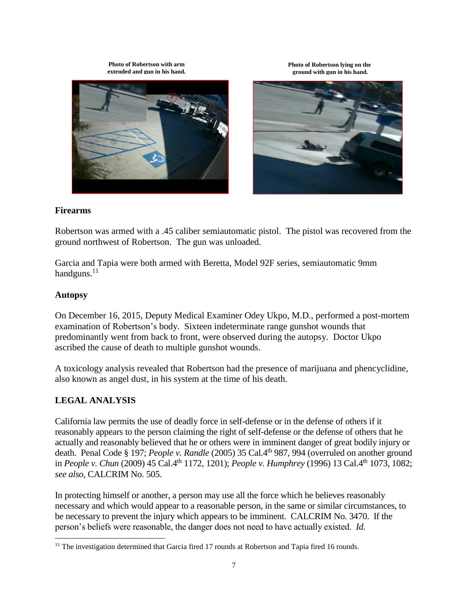**Photo of Robertson with arm extended and gun in his hand.** **Photo of Robertson lying on the ground with gun in his hand.**





# **Firearms**

Robertson was armed with a .45 caliber semiautomatic pistol. The pistol was recovered from the ground northwest of Robertson. The gun was unloaded.

Garcia and Tapia were both armed with Beretta, Model 92F series, semiautomatic 9mm handguns.<sup>11</sup>

#### **Autopsy**

l

On December 16, 2015, Deputy Medical Examiner Odey Ukpo, M.D., performed a post-mortem examination of Robertson's body. Sixteen indeterminate range gunshot wounds that predominantly went from back to front, were observed during the autopsy. Doctor Ukpo ascribed the cause of death to multiple gunshot wounds.

A toxicology analysis revealed that Robertson had the presence of marijuana and phencyclidine, also known as angel dust, in his system at the time of his death.

# **LEGAL ANALYSIS**

California law permits the use of deadly force in self-defense or in the defense of others if it reasonably appears to the person claiming the right of self-defense or the defense of others that he actually and reasonably believed that he or others were in imminent danger of great bodily injury or death. Penal Code § 197; *People v. Randle* (2005) 35 Cal.4<sup>th</sup> 987, 994 (overruled on another ground in *People v. Chun* (2009) 45 Cal.4<sup>th</sup> 1172, 1201); *People v. Humphrey* (1996) 13 Cal.4<sup>th</sup> 1073, 1082; *see also,* CALCRIM No. 505.

In protecting himself or another, a person may use all the force which he believes reasonably necessary and which would appear to a reasonable person, in the same or similar circumstances, to be necessary to prevent the injury which appears to be imminent. CALCRIM No. 3470. If the person's beliefs were reasonable, the danger does not need to have actually existed. *Id.*

 $11$  The investigation determined that Garcia fired 17 rounds at Robertson and Tapia fired 16 rounds.